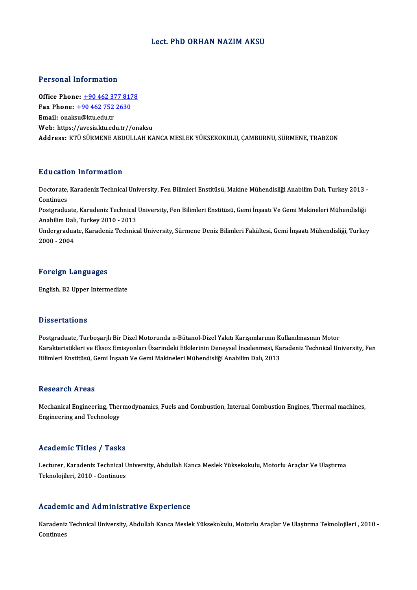## Lect. PhD ORHAN NAZIM AKSU

## Personal Information

**Personal Information<br>Office Phone: +90 462 377 8178<br>Fax Phone: +90 462 752 2620** Fax Phone: <u>+90 462 377 817</u><br>Fax Phone: <u>+90 462 752 2630</u><br>Fmail: enaksu@kty.edu.tr Office Phone: <u>+90 462 37</u><br>Fax Phone: <u>+90 462 752</u><br>Email: onaksu[@ktu.edu.tr](tel:+90 462 377 8178) Fax Phone:  $\pm$ 90 462 752 2630<br>Email: onaksu@ktu.edu.tr<br>Web: https:/[/avesis.ktu.edu.tr//](tel:+90 462 752 2630)onaksu Address: KTÜ SÜRMENE ABDULLAH KANCA MESLEK YÜKSEKOKULU, ÇAMBURNU, SÜRMENE, TRABZON

## Education Information

**Education Information**<br>Doctorate, Karadeniz Technical University, Fen Bilimleri Enstitüsü, Makine Mühendisliği Anabilim Dalı, Turkey 2013 -<br>Continues Doctorate,<br>Continues<br>Postaredu Doctorate, Karadeniz Technical University, Fen Bilimleri Enstitüsü, Makine Mühendisliği Anabilim Dalı, Turkey 2013<br>Continues<br>Postgraduate, Karadeniz Technical University, Fen Bilimleri Enstitüsü, Gemi İnşaatı Ve Gemi Makin

Continues<br>Postgraduate, Karadeniz Technical<br>Anabilim Dalı, Turkey 2010 - 2013<br>Undergraduate, Karadeniz Technics Postgraduate, Karadeniz Technical University, Fen Bilimleri Enstitüsü, Gemi İnşaatı Ve Gemi Makineleri Mühendisliği<br>Anabilim Dalı, Turkey 2010 - 2013<br>Undergraduate, Karadeniz Technical University, Sürmene Deniz Bilimleri F

Anabilim Dalı, Turkey 2010 - 2013<br>Undergraduate, Karadeniz Technical University, Sürmene Deniz Bilimleri Fakültesi, Gemi İnşaatı Mühendisliği, Turkey<br>2000 - 2004

### Foreign Languages

English,B2Upper Intermediate

### **Dissertations**

Postgraduate, Turboşarjlı Bir Dizel Motorunda n-Bütanol-Dizel Yakıtı Karışımlarının Kullanılmasının Motor Basser tatronis<br>Postgraduate, Turboşarjlı Bir Dizel Motorunda n-Bütanol-Dizel Yakıtı Karışımlarının Kullanılmasının Motor<br>Karakteristikleri ve Eksoz Emisyonları Üzerindeki Etkilerinin Deneysel İncelenmesi, Karadeniz Techni Postgraduate, Turboşarjlı Bir Dizel Motorunda n-Bütanol-Dizel Yakıtı Karışımlarının Kı<br>Karakteristikleri ve Eksoz Emisyonları Üzerindeki Etkilerinin Deneysel İncelenmesi, Ka<br>Bilimleri Enstitüsü, Gemi İnşaatı Ve Gemi Makine Bilimleri Enstitüsü, Gemi İnşaatı Ve Gemi Makineleri Mühendisliği Anabilim Dalı, 2013<br>Research Areas

Mechanical Engineering, Thermodynamics, Fuels and Combustion, Internal Combustion Engines, Thermal machines, Engineering andTechnology

#### Academic Titles / Tasks

**Academic Titles / Tasks**<br>Lecturer, Karadeniz Technical University, Abdullah Kanca Meslek Yüksekokulu, Motorlu Araçlar Ve Ulaştırma<br>Teknolojileri, 2010., Continues Teknolojileri, 2010<br>Lecturer, Karadeniz Technical U<br>Teknolojileri, 2010 - Continues Teknolojileri, 2010 - Continues<br>Academic and Administrative Experience

Academic and Administrative Experience<br>Karadeniz Technical University, Abdullah Kanca Meslek Yüksekokulu, Motorlu Araçlar Ve Ulaştırma Teknolojileri , 2010 -Karadeniz<br>Karadeniz<br>Continues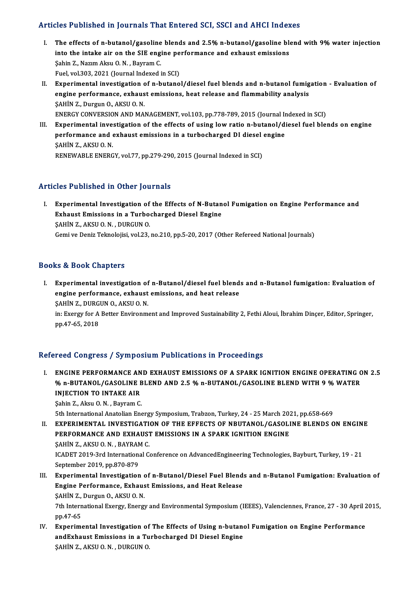# Articles Published in Journals That Entered SCI, SSCI and AHCI Indexes

- rticles Published in Journals That Entered SCI, SSCI and AHCI Indexes<br>I. The effects of n-butanol/gasoline blends and 2.5% n-butanol/gasoline blend with 9% water injection<br>into the inteke sin on the SIE engine performance The effects of n-butanol/gasoline blends and 2.5% n-butanol/gasoline blends<br>into the intake air on the SIE engine performance and exhaust emissions<br>Sebin 7, Narum Alcu O.N., Berman C. The effects of n-butanol/gasoline<br>into the intake air on the SIE eng<br>Şahin Z., Nazım Aksu O.N., Bayram C. into the intake air on the SIE engine performance and exhaust emissions<br>Sahin Z., Nazım Aksu O. N. , Bayram C.<br>Fuel, vol.303, 2021 (Journal Indexed in SCI) Sahin Z., Nazım Aksu O. N. , Bayram C.<br>Fuel, vol.303, 2021 (Journal Indexed in SCI)<br>II. Experimental investigation of n-butanol/diesel fuel blends and n-butanol fumigation - Evaluation of<br>ongine performance, exhaust emissi
- Fuel, vol.303, 2021 (Journal Indexed in SCI)<br>Experimental investigation of n-butanol/diesel fuel blends and n-butanol fumig<br>engine performance, exhaust emissions, heat release and flammability analysis<br>SAHIN Z. Durgun O. A Experimental investigation c<br>engine performance, exhaus<br>SAHİN Z., Durgun O., AKSU O. N.<br>ENEPCY CONVERSION AND MA. engine performance, exhaust emissions, heat release and flammability analysis<br>ŞAHİN Z., Durgun O., AKSU O. N.<br>ENERGY CONVERSION AND MANAGEMENT, vol.103, pp.778-789, 2015 (Journal Indexed in SCI)<br>Experimental investigation SAHIN Z., Durgun O., AKSU O. N.<br>ENERGY CONVERSION AND MANAGEMENT, vol.103, pp.778-789, 2015 (Journal Indexed in SCI)<br>III. Experimental investigation of the effects of using low ratio n-butanol/diesel fuel blends on engine<br>
- ENERGY CONVERSION AND MANAGEMENT, vol.103, pp.778-789, 2015 (Journal In<br>Experimental investigation of the effects of using low ratio n-butanol/di<br>performance and exhaust emissions in a turbocharged DI diesel engine<br>SAHIN Z Experimental inve:<br>performance and e<br>ŞAHİN Z., AKSU O.N.<br>PENEWARLE ENERC performance and exhaust emissions in a turbocharged DI diesel engine<br>\$AHİN Z., AKSU O. N.<br>RENEWABLE ENERGY, vol.77, pp.279-290, 2015 (Journal Indexed in SCI)

# Articles Published in Other Journals

rticles Published in Other Journals<br>I. Experimental Investigation of the Effects of N-Butanol Fumigation on Engine Performance and<br>Exhaust Emissions in a Turbosharsed Dissel Engine Experimental Investigation of the Effects of N-Butan<br>Experimental Investigation of the Effects of N-Butan<br>Exhaust Emissions in a Turbocharged Diesel Engine Experimental Investigation of<br>Exhaust Emissions in a Turbo<br>ŞAHİN Z., AKSU O.N., DURGUN O.<br>Comi*ve* Deniz Telmolojisi vol 22 Exhaust Emissions in a Turbocharged Diesel Engine<br>SAHİN Z., AKSU O. N. , DURGUN O.<br>Gemi ve Deniz Teknolojisi, vol.23, no.210, pp.5-20, 2017 (Other Refereed National Journals)

# Books&Book Chapters

ooks & Book Chapters<br>I. Experimental investigation of n-Butanol/diesel fuel blends and n-Butanol fumigation: Evaluation of<br>Angine performance, exhaust emissions, and best release. ence book diaspects<br>Experimental investigation of n-Butanol/diesel fuel blend<br>engine performance, exhaust emissions, and heat release Experimental investigation of<br>engine performance, exhaust<br>ŞAHİN Z., DURGUN O., AKSU O. N.<br>in: Exergy for A Better Environm SAHIN Z., DURGUN O., AKSU O. N.

engine performance, exhaust emissions, and heat release<br>SAHIN Z., DURGUN O., AKSU O. N.<br>in: Exergy for A Better Environment and Improved Sustainability 2, Fethi Aloui, İbrahim Dinçer, Editor, Springer,<br>pp.47-65, 2018

# Refereed Congress / Symposium Publications in Proceedings

Efereed Congress / Symposium Publications in Proceedings<br>I. ENGINE PERFORMANCE AND EXHAUST EMISSIONS OF A SPARK IGNITION ENGINE OPERATING ON 2.5<br>26 D BUTANOL (CASOLINE PLEND AND 2.5 % D BUTANOL (CASOLINE PLEND WITH 9.8 % W TOOR OORGTOOP TYMPOORRH I RONGRUMD IN TTOCCORINGS<br>ENGINE PERFORMANCE AND EXHAUST EMISSIONS OF A SPARK IGNITION ENGINE OPERATING C<br>WIECTION TO INTAKE AIR ENGINE PERFORMANCE AN<br>% n-BUTANOL/GASOLINE E<br>INJECTION TO INTAKE AIR<br>Sabin 7 - Algu O. N - Bauram C % n-BUTANOL/GASOLINE BLEND AND 2.5 % n-BUTANOL/GASOLINE BLEND WITH 9 % WATER<br>INJECTION TO INTAKE AIR<br>Şahin Z., Aksu O. N. , Bayram C.

5th International Anatolian Energy Symposium, Trabzon, Turkey, 24 - 25 March 2021, pp.658-669

- Sahin Z., Aksu O. N., Bayram C.<br>5th International Anatolian Energy Symposium, Trabzon, Turkey, 24 25 March 2021, pp.658-669<br>II. EXPERIMENTAL INVESTIGATION OF THE EFFECTS OF NBUTANOL/GASOLINE BLENDS ON ENGINE<br>REREORMANCE 5th International Anatolian Energy Symposium, Trabzon, Turkey, 24 - 25 March 202<br>EXPERIMENTAL INVESTIGATION OF THE EFFECTS OF NBUTANOL/GASOLI<br>PERFORMANCE AND EXHAUST EMISSIONS IN A SPARK IGNITION ENGINE<br>SAHIN Z AVSUO N. PA EXPERIMENTAL INVESTIGATI<br>PERFORMANCE AND EXHAUST<br>ŞAHİN Z., AKSU O.N. , BAYRAM C.<br>ICADET 2010 2rd International C. PERFORMANCE AND EXHAUST EMISSIONS IN A SPARK IGNITION ENGINE<br>ŞAHİN Z., AKSU O. N. , BAYRAM C.<br>ICADET 2019-3rd International Conference on AdvancedEngineering Technologies, Bayburt, Turkey, 19 - 21<br>Santambar 2019 nn 870 879 SAHİN Z., AKSU O. N. , BAYRAN<br>ICADET 2019-3rd Internation:<br>September 2019, pp.870-879<br>Eunonimental Investigation
- September 2019, pp.870-879<br>III. Experimental Investigation of n-Butanol/Diesel Fuel Blends and n-Butanol Fumigation: Evaluation of September 2019, pp.870-879<br>Experimental Investigation of n-Butanol/Diesel Fuel Blend<br>Engine Performance, Exhaust Emissions, and Heat Release<br>SAHIN Z. Durgun O. AKSU O.N Experimental Investigation<br>Engine Performance, Exhaus<br>ŞAHİN Z., Durgun O., AKSU O.N.<br><sup>7th International Exengu, Energi</sup> E<mark>ngine Performance, Exhaust Emissions, and Heat Release</mark><br>ŞAHİN Z., Durgun O., AKSU O. N.<br>7th International Exergy, Energy and Environmental Symposium (IEEES), Valenciennes, France, 27 - 30 April 2015,<br>nn 47 65

SAHIN Z.,<br>7th Intern<br>pp.47-65<br>Experim: The International Exergy, Energy and Environmental Symposium (IEEES), Valenciennes, France, 27 - 30 April 2<br>pp.47-65<br>IV. Experimental Investigation of The Effects of Using n-butanol Fumigation on Engine Performance<br>and Exp

pp.47-65<br>IV. Experimental Investigation of The Effects of Using n-butanol Fumigation on Engine Performance<br>andExhaust Emissions in a Turbocharged DI Diesel Engine ŞAHİNZ.,AKSUO.N. ,DURGUNO.